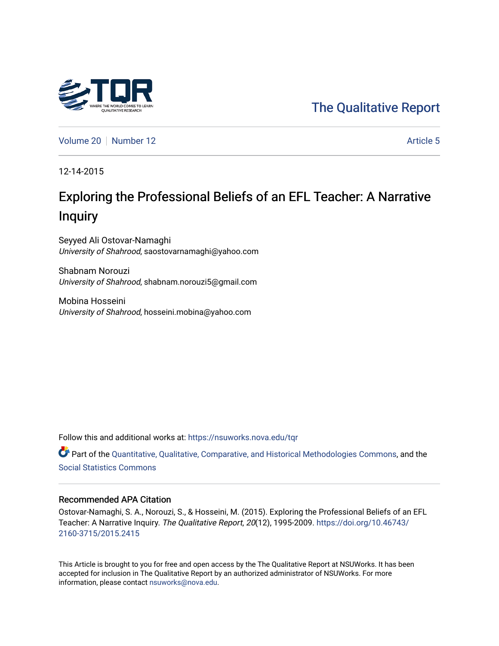# [The Qualitative Report](https://nsuworks.nova.edu/tqr)

[Volume 20](https://nsuworks.nova.edu/tqr/vol20) [Number 12](https://nsuworks.nova.edu/tqr/vol20/iss12) Article 5

12-14-2015

# Exploring the Professional Beliefs of an EFL Teacher: A Narrative Inquiry

Seyyed Ali Ostovar-Namaghi University of Shahrood, saostovarnamaghi@yahoo.com

Shabnam Norouzi University of Shahrood, shabnam.norouzi5@gmail.com

Mobina Hosseini University of Shahrood, hosseini.mobina@yahoo.com

Follow this and additional works at: [https://nsuworks.nova.edu/tqr](https://nsuworks.nova.edu/tqr?utm_source=nsuworks.nova.edu%2Ftqr%2Fvol20%2Fiss12%2F5&utm_medium=PDF&utm_campaign=PDFCoverPages) 

Part of the [Quantitative, Qualitative, Comparative, and Historical Methodologies Commons,](http://network.bepress.com/hgg/discipline/423?utm_source=nsuworks.nova.edu%2Ftqr%2Fvol20%2Fiss12%2F5&utm_medium=PDF&utm_campaign=PDFCoverPages) and the [Social Statistics Commons](http://network.bepress.com/hgg/discipline/1275?utm_source=nsuworks.nova.edu%2Ftqr%2Fvol20%2Fiss12%2F5&utm_medium=PDF&utm_campaign=PDFCoverPages) 

#### Recommended APA Citation

Ostovar-Namaghi, S. A., Norouzi, S., & Hosseini, M. (2015). Exploring the Professional Beliefs of an EFL Teacher: A Narrative Inquiry. The Qualitative Report, 20(12), 1995-2009. [https://doi.org/10.46743/](https://doi.org/10.46743/2160-3715/2015.2415) [2160-3715/2015.2415](https://doi.org/10.46743/2160-3715/2015.2415)

This Article is brought to you for free and open access by the The Qualitative Report at NSUWorks. It has been accepted for inclusion in The Qualitative Report by an authorized administrator of NSUWorks. For more information, please contact [nsuworks@nova.edu.](mailto:nsuworks@nova.edu)

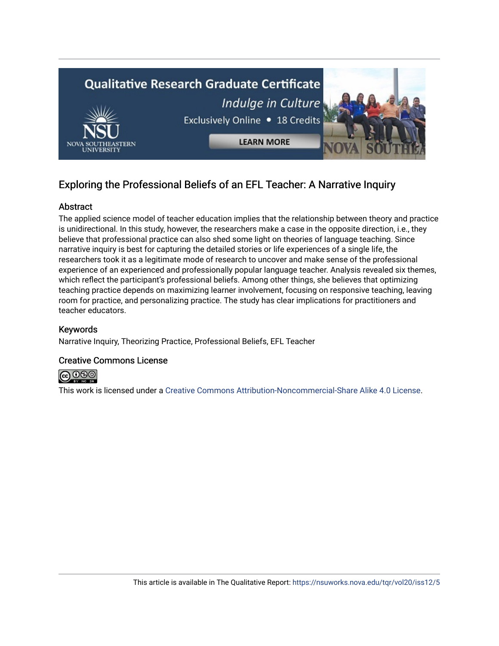

# Exploring the Professional Beliefs of an EFL Teacher: A Narrative Inquiry

# Abstract

The applied science model of teacher education implies that the relationship between theory and practice is unidirectional. In this study, however, the researchers make a case in the opposite direction, i.e., they believe that professional practice can also shed some light on theories of language teaching. Since narrative inquiry is best for capturing the detailed stories or life experiences of a single life, the researchers took it as a legitimate mode of research to uncover and make sense of the professional experience of an experienced and professionally popular language teacher. Analysis revealed six themes, which reflect the participant's professional beliefs. Among other things, she believes that optimizing teaching practice depends on maximizing learner involvement, focusing on responsive teaching, leaving room for practice, and personalizing practice. The study has clear implications for practitioners and teacher educators.

# Keywords

Narrative Inquiry, Theorizing Practice, Professional Beliefs, EFL Teacher

### Creative Commons License



This work is licensed under a [Creative Commons Attribution-Noncommercial-Share Alike 4.0 License](https://creativecommons.org/licenses/by-nc-sa/4.0/).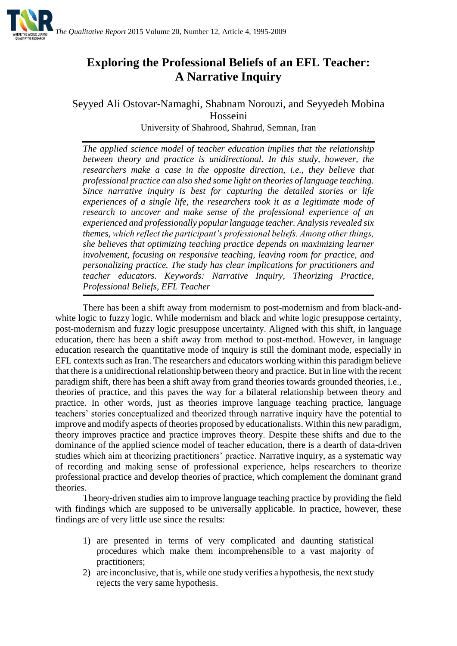

# **Exploring the Professional Beliefs of an EFL Teacher: A Narrative Inquiry**

Seyyed Ali Ostovar-Namaghi, Shabnam Norouzi, and Seyyedeh Mobina Hosseini University of Shahrood, Shahrud, Semnan, Iran

*The applied science model of teacher education implies that the relationship between theory and practice is unidirectional. In this study, however, the researchers make a case in the opposite direction, i.e., they believe that professional practice can also shed some light on theories of language teaching. Since narrative inquiry is best for capturing the detailed stories or life experiences of a single life, the researchers took it as a legitimate mode of research to uncover and make sense of the professional experience of an experienced and professionally popular language teacher. Analysis revealed six themes, which reflect the participant's professional beliefs. Among other things, she believes that optimizing teaching practice depends on maximizing learner involvement, focusing on responsive teaching, leaving room for practice, and personalizing practice. The study has clear implications for practitioners and teacher educators. Keywords: Narrative Inquiry, Theorizing Practice, Professional Beliefs, EFL Teacher*

There has been a shift away from modernism to post-modernism and from black-andwhite logic to fuzzy logic. While modernism and black and white logic presuppose certainty, post-modernism and fuzzy logic presuppose uncertainty. Aligned with this shift, in language education, there has been a shift away from method to post-method. However, in language education research the quantitative mode of inquiry is still the dominant mode, especially in EFL contexts such as Iran. The researchers and educators working within this paradigm believe that there is a unidirectional relationship between theory and practice. But in line with the recent paradigm shift, there has been a shift away from grand theories towards grounded theories, i.e., theories of practice, and this paves the way for a bilateral relationship between theory and practice. In other words, just as theories improve language teaching practice, language teachers' stories conceptualized and theorized through narrative inquiry have the potential to improve and modify aspects of theories proposed by educationalists. Within this new paradigm, theory improves practice and practice improves theory. Despite these shifts and due to the dominance of the applied science model of teacher education, there is a dearth of data-driven studies which aim at theorizing practitioners' practice. Narrative inquiry, as a systematic way of recording and making sense of professional experience, helps researchers to theorize professional practice and develop theories of practice, which complement the dominant grand theories.

Theory-driven studies aim to improve language teaching practice by providing the field with findings which are supposed to be universally applicable. In practice, however, these findings are of very little use since the results:

- 1) are presented in terms of very complicated and daunting statistical procedures which make them incomprehensible to a vast majority of practitioners;
- 2) are inconclusive, that is, while one study verifies a hypothesis, the next study rejects the very same hypothesis.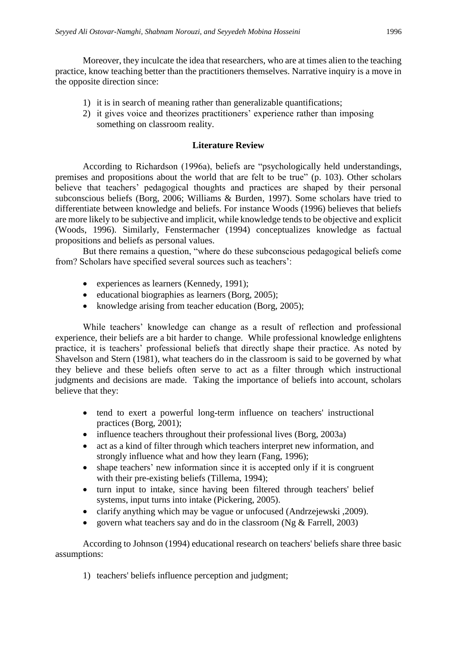Moreover, they inculcate the idea that researchers, who are at times alien to the teaching practice, know teaching better than the practitioners themselves. Narrative inquiry is a move in the opposite direction since:

- 1) it is in search of meaning rather than generalizable quantifications;
- 2) it gives voice and theorizes practitioners' experience rather than imposing something on classroom reality.

# **Literature Review**

According to Richardson (1996a), beliefs are "psychologically held understandings, premises and propositions about the world that are felt to be true" (p. 103). Other scholars believe that teachers' pedagogical thoughts and practices are shaped by their personal subconscious beliefs (Borg, 2006; Williams & Burden, 1997). Some scholars have tried to differentiate between knowledge and beliefs. For instance Woods (1996) believes that beliefs are more likely to be subjective and implicit, while knowledge tends to be objective and explicit (Woods, 1996). Similarly, Fenstermacher (1994) conceptualizes knowledge as factual propositions and beliefs as personal values.

But there remains a question, "where do these subconscious pedagogical beliefs come from? Scholars have specified several sources such as teachers':

- experiences as learners (Kennedy, 1991);
- $\bullet$  educational biographies as learners (Borg, 2005);
- knowledge arising from teacher education (Borg, 2005);

While teachers' knowledge can change as a result of reflection and professional experience, their beliefs are a bit harder to change. While professional knowledge enlightens practice, it is teachers' professional beliefs that directly shape their practice. As noted by Shavelson and Stern (1981), what teachers do in the classroom is said to be governed by what they believe and these beliefs often serve to act as a filter through which instructional judgments and decisions are made. Taking the importance of beliefs into account, scholars believe that they:

- tend to exert a powerful long-term influence on teachers' instructional practices (Borg, 2001);
- influence teachers throughout their professional lives (Borg, 2003a)
- act as a kind of filter through which teachers interpret new information, and strongly influence what and how they learn (Fang, 1996);
- shape teachers' new information since it is accepted only if it is congruent with their pre-existing beliefs (Tillema, 1994);
- turn input to intake, since having been filtered through teachers' belief systems, input turns into intake (Pickering, 2005).
- clarify anything which may be vague or unfocused (Andrzejewski, 2009).
- govern what teachers say and do in the classroom (Ng & Farrell, 2003)

According to Johnson (1994) educational research on teachers' beliefs share three basic assumptions:

1) teachers' beliefs influence perception and judgment;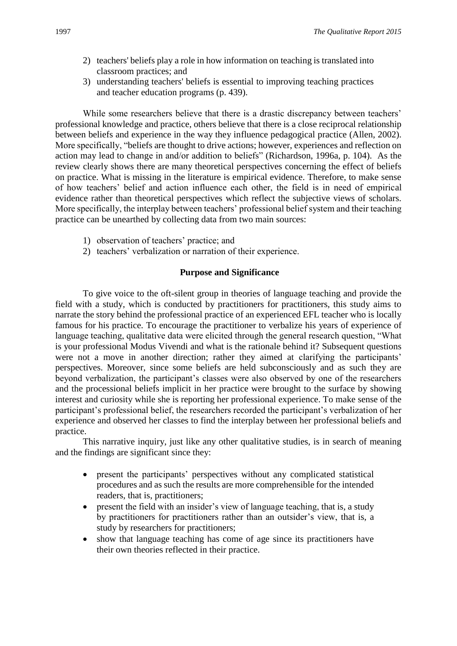- 2) teachers' beliefs play a role in how information on teaching is translated into classroom practices; and
- 3) understanding teachers' beliefs is essential to improving teaching practices and teacher education programs (p. 439).

While some researchers believe that there is a drastic discrepancy between teachers' professional knowledge and practice, others believe that there is a close reciprocal relationship between beliefs and experience in the way they influence pedagogical practice (Allen, 2002). More specifically, "beliefs are thought to drive actions; however, experiences and reflection on action may lead to change in and/or addition to beliefs" (Richardson, 1996a, p. 104). As the review clearly shows there are many theoretical perspectives concerning the effect of beliefs on practice. What is missing in the literature is empirical evidence. Therefore, to make sense of how teachers' belief and action influence each other, the field is in need of empirical evidence rather than theoretical perspectives which reflect the subjective views of scholars. More specifically, the interplay between teachers' professional belief system and their teaching practice can be unearthed by collecting data from two main sources:

- 1) observation of teachers' practice; and
- 2) teachers' verbalization or narration of their experience.

### **Purpose and Significance**

To give voice to the oft-silent group in theories of language teaching and provide the field with a study, which is conducted by practitioners for practitioners, this study aims to narrate the story behind the professional practice of an experienced EFL teacher who is locally famous for his practice. To encourage the practitioner to verbalize his years of experience of language teaching, qualitative data were elicited through the general research question, "What is your professional Modus Vivendi and what is the rationale behind it? Subsequent questions were not a move in another direction; rather they aimed at clarifying the participants' perspectives. Moreover, since some beliefs are held subconsciously and as such they are beyond verbalization, the participant's classes were also observed by one of the researchers and the processional beliefs implicit in her practice were brought to the surface by showing interest and curiosity while she is reporting her professional experience. To make sense of the participant's professional belief, the researchers recorded the participant's verbalization of her experience and observed her classes to find the interplay between her professional beliefs and practice.

This narrative inquiry, just like any other qualitative studies, is in search of meaning and the findings are significant since they:

- present the participants' perspectives without any complicated statistical procedures and as such the results are more comprehensible for the intended readers, that is, practitioners;
- present the field with an insider's view of language teaching, that is, a study by practitioners for practitioners rather than an outsider's view, that is, a study by researchers for practitioners;
- show that language teaching has come of age since its practitioners have their own theories reflected in their practice.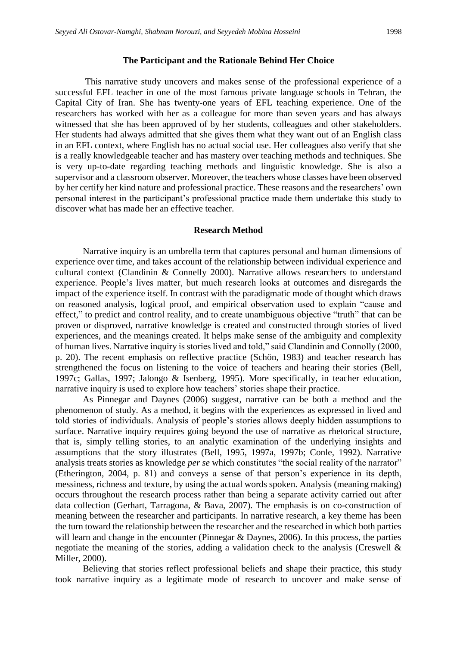#### **The Participant and the Rationale Behind Her Choice**

This narrative study uncovers and makes sense of the professional experience of a successful EFL teacher in one of the most famous private language schools in Tehran, the Capital City of Iran. She has twenty-one years of EFL teaching experience. One of the researchers has worked with her as a colleague for more than seven years and has always witnessed that she has been approved of by her students, colleagues and other stakeholders. Her students had always admitted that she gives them what they want out of an English class in an EFL context, where English has no actual social use. Her colleagues also verify that she is a really knowledgeable teacher and has mastery over teaching methods and techniques. She is very up-to-date regarding teaching methods and linguistic knowledge. She is also a supervisor and a classroom observer. Moreover, the teachers whose classes have been observed by her certify her kind nature and professional practice. These reasons and the researchers' own personal interest in the participant's professional practice made them undertake this study to discover what has made her an effective teacher.

#### **Research Method**

Narrative inquiry is an umbrella term that captures personal and human dimensions of experience over time, and takes account of the relationship between individual experience and cultural context (Clandinin & Connelly 2000). Narrative allows researchers to understand experience. People's lives matter, but much research looks at outcomes and disregards the impact of the experience itself. In contrast with the paradigmatic mode of thought which draws on reasoned analysis, logical proof, and empirical observation used to explain "cause and effect," to predict and control reality, and to create unambiguous objective "truth" that can be proven or disproved, narrative knowledge is created and constructed through stories of lived experiences, and the meanings created. It helps make sense of the ambiguity and complexity of human lives. Narrative inquiry is stories lived and told," said Clandinin and Connolly (2000, p. 20). The recent emphasis on reflective practice (Schön, 1983) and teacher research has strengthened the focus on listening to the voice of teachers and hearing their stories (Bell, 1997c; Gallas, 1997; Jalongo & Isenberg, 1995). More specifically, in teacher education, narrative inquiry is used to explore how teachers' stories shape their practice.

As Pinnegar and Daynes (2006) suggest, narrative can be both a method and the phenomenon of study. As a method, it begins with the experiences as expressed in lived and told stories of individuals. Analysis of people's stories allows deeply hidden assumptions to surface. Narrative inquiry requires going beyond the use of narrative as rhetorical structure, that is, simply telling stories, to an analytic examination of the underlying insights and assumptions that the story illustrates (Bell, 1995, 1997a, 1997b; Conle, 1992). Narrative analysis treats stories as knowledge *per se* which constitutes "the social reality of the narrator" (Etherington, 2004, p. 81) and conveys a sense of that person's experience in its depth, messiness, richness and texture, by using the actual words spoken. Analysis (meaning making) occurs throughout the research process rather than being a separate activity carried out after data collection (Gerhart, Tarragona, & Bava, 2007). The emphasis is on co-construction of meaning between the researcher and participants. In narrative research, a key theme has been the turn toward the relationship between the researcher and the researched in which both parties will learn and change in the encounter (Pinnegar & Daynes, 2006). In this process, the parties negotiate the meaning of the stories, adding a validation check to the analysis (Creswell & Miller, 2000).

Believing that stories reflect professional beliefs and shape their practice, this study took narrative inquiry as a legitimate mode of research to uncover and make sense of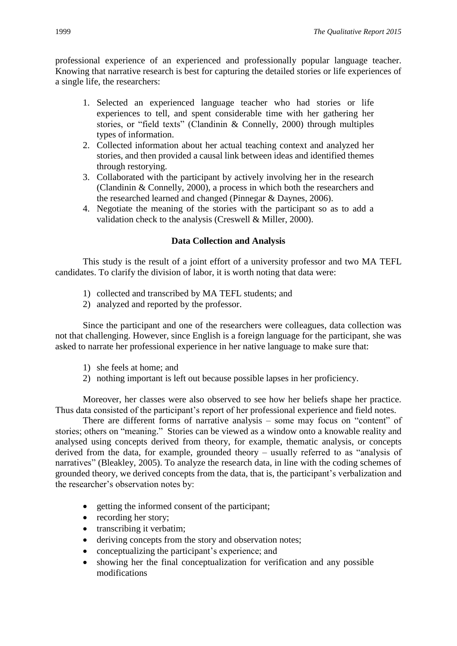professional experience of an experienced and professionally popular language teacher. Knowing that narrative research is best for capturing the detailed stories or life experiences of a single life, the researchers:

- 1. Selected an experienced language teacher who had stories or life experiences to tell, and spent considerable time with her gathering her stories, or "field texts" (Clandinin & Connelly, 2000) through multiples types of information.
- 2. Collected information about her actual teaching context and analyzed her stories, and then provided a causal link between ideas and identified themes through restorying.
- 3. Collaborated with the participant by actively involving her in the research (Clandinin & Connelly, 2000), a process in which both the researchers and the researched learned and changed (Pinnegar & Daynes, 2006).
- 4. Negotiate the meaning of the stories with the participant so as to add a validation check to the analysis (Creswell & Miller, 2000).

# **Data Collection and Analysis**

This study is the result of a joint effort of a university professor and two MA TEFL candidates. To clarify the division of labor, it is worth noting that data were:

- 1) collected and transcribed by MA TEFL students; and
- 2) analyzed and reported by the professor.

Since the participant and one of the researchers were colleagues, data collection was not that challenging. However, since English is a foreign language for the participant, she was asked to narrate her professional experience in her native language to make sure that:

- 1) she feels at home; and
- 2) nothing important is left out because possible lapses in her proficiency.

Moreover, her classes were also observed to see how her beliefs shape her practice. Thus data consisted of the participant's report of her professional experience and field notes.

There are different forms of narrative analysis – some may focus on "content" of stories; others on "meaning." Stories can be viewed as a window onto a knowable reality and analysed using concepts derived from theory, for example, thematic analysis, or concepts derived from the data, for example, grounded theory – usually referred to as "analysis of narratives" (Bleakley, 2005). To analyze the research data, in line with the coding schemes of grounded theory, we derived concepts from the data, that is, the participant's verbalization and the researcher's observation notes by:

- getting the informed consent of the participant;
- recording her story;
- transcribing it verbatim;
- deriving concepts from the story and observation notes;
- conceptualizing the participant's experience; and
- showing her the final conceptualization for verification and any possible modifications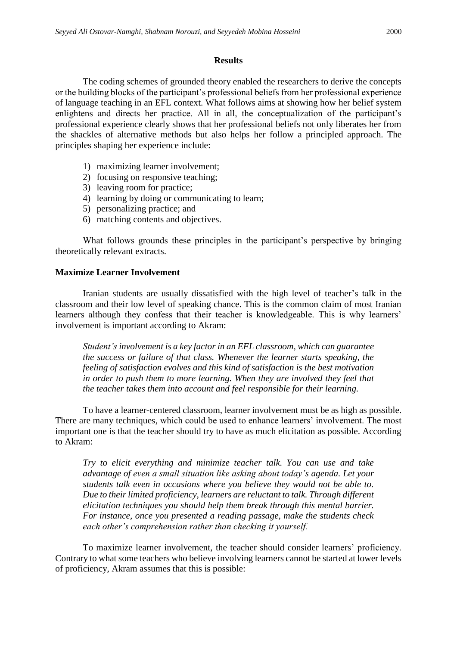#### **Results**

The coding schemes of grounded theory enabled the researchers to derive the concepts or the building blocks of the participant's professional beliefs from her professional experience of language teaching in an EFL context. What follows aims at showing how her belief system enlightens and directs her practice. All in all, the conceptualization of the participant's professional experience clearly shows that her professional beliefs not only liberates her from the shackles of alternative methods but also helps her follow a principled approach. The principles shaping her experience include:

- 1) maximizing learner involvement;
- 2) focusing on responsive teaching;
- 3) leaving room for practice;
- 4) learning by doing or communicating to learn;
- 5) personalizing practice; and
- 6) matching contents and objectives.

What follows grounds these principles in the participant's perspective by bringing theoretically relevant extracts.

# **Maximize Learner Involvement**

Iranian students are usually dissatisfied with the high level of teacher's talk in the classroom and their low level of speaking chance. This is the common claim of most Iranian learners although they confess that their teacher is knowledgeable. This is why learners' involvement is important according to Akram:

*Student's involvement is a key factor in an EFL classroom, which can guarantee the success or failure of that class. Whenever the learner starts speaking, the feeling of satisfaction evolves and this kind of satisfaction is the best motivation in order to push them to more learning. When they are involved they feel that the teacher takes them into account and feel responsible for their learning.*

To have a learner-centered classroom, learner involvement must be as high as possible. There are many techniques, which could be used to enhance learners' involvement. The most important one is that the teacher should try to have as much elicitation as possible. According to Akram:

*Try to elicit everything and minimize teacher talk. You can use and take advantage of even a small situation like asking about today's agenda. Let your students talk even in occasions where you believe they would not be able to. Due to their limited proficiency, learners are reluctant to talk. Through different elicitation techniques you should help them break through this mental barrier. For instance, once you presented a reading passage, make the students check each other's comprehension rather than checking it yourself.* 

To maximize learner involvement, the teacher should consider learners' proficiency. Contrary to what some teachers who believe involving learners cannot be started at lower levels of proficiency, Akram assumes that this is possible: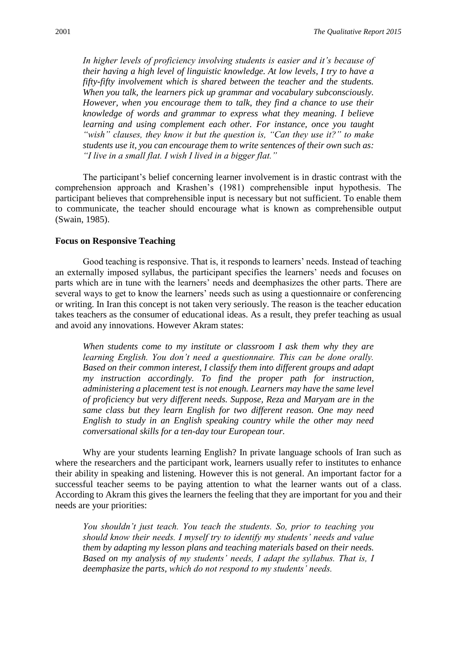*In higher levels of proficiency involving students is easier and it's because of their having a high level of linguistic knowledge. At low levels, I try to have a fifty-fifty involvement which is shared between the teacher and the students. When you talk, the learners pick up grammar and vocabulary subconsciously. However, when you encourage them to talk, they find a chance to use their knowledge of words and grammar to express what they meaning. I believe learning and using complement each other. For instance, once you taught "wish" clauses, they know it but the question is, "Can they use it?" to make students use it, you can encourage them to write sentences of their own such as: "I live in a small flat. I wish I lived in a bigger flat."* 

The participant's belief concerning learner involvement is in drastic contrast with the comprehension approach and Krashen's (1981) comprehensible input hypothesis. The participant believes that comprehensible input is necessary but not sufficient. To enable them to communicate, the teacher should encourage what is known as comprehensible output (Swain, 1985).

#### **Focus on Responsive Teaching**

Good teaching is responsive. That is, it responds to learners' needs. Instead of teaching an externally imposed syllabus, the participant specifies the learners' needs and focuses on parts which are in tune with the learners' needs and deemphasizes the other parts. There are several ways to get to know the learners' needs such as using a questionnaire or conferencing or writing. In Iran this concept is not taken very seriously. The reason is the teacher education takes teachers as the consumer of educational ideas. As a result, they prefer teaching as usual and avoid any innovations. However Akram states:

*When students come to my institute or classroom I ask them why they are learning English. You don't need a questionnaire. This can be done orally. Based on their common interest, I classify them into different groups and adapt my instruction accordingly. To find the proper path for instruction, administering a placement test is not enough. Learners may have the same level of proficiency but very different needs. Suppose, Reza and Maryam are in the same class but they learn English for two different reason. One may need English to study in an English speaking country while the other may need conversational skills for a ten-day tour European tour.* 

Why are your students learning English? In private language schools of Iran such as where the researchers and the participant work, learners usually refer to institutes to enhance their ability in speaking and listening. However this is not general. An important factor for a successful teacher seems to be paying attention to what the learner wants out of a class. According to Akram this gives the learners the feeling that they are important for you and their needs are your priorities:

*You shouldn't just teach. You teach the students. So, prior to teaching you should know their needs. I myself try to identify my students' needs and value them by adapting my lesson plans and teaching materials based on their needs. Based on my analysis of my students' needs, I adapt the syllabus. That is, I deemphasize the parts, which do not respond to my students' needs.*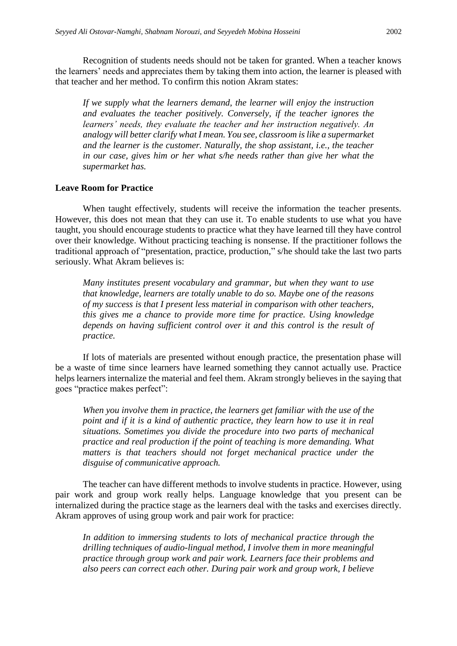Recognition of students needs should not be taken for granted. When a teacher knows the learners' needs and appreciates them by taking them into action, the learner is pleased with that teacher and her method. To confirm this notion Akram states:

*If we supply what the learners demand, the learner will enjoy the instruction and evaluates the teacher positively. Conversely, if the teacher ignores the learners' needs, they evaluate the teacher and her instruction negatively. An analogy will better clarify what I mean. You see, classroom is like a supermarket and the learner is the customer. Naturally, the shop assistant, i.e., the teacher in our case, gives him or her what s/he needs rather than give her what the supermarket has.* 

#### **Leave Room for Practice**

When taught effectively, students will receive the information the teacher presents. However, this does not mean that they can use it. To enable students to use what you have taught, you should encourage students to practice what they have learned till they have control over their knowledge. Without practicing teaching is nonsense. If the practitioner follows the traditional approach of "presentation, practice, production," s/he should take the last two parts seriously. What Akram believes is:

*Many institutes present vocabulary and grammar, but when they want to use that knowledge, learners are totally unable to do so. Maybe one of the reasons of my success is that I present less material in comparison with other teachers, this gives me a chance to provide more time for practice. Using knowledge depends on having sufficient control over it and this control is the result of practice.* 

If lots of materials are presented without enough practice, the presentation phase will be a waste of time since learners have learned something they cannot actually use. Practice helps learners internalize the material and feel them. Akram strongly believes in the saying that goes "practice makes perfect":

*When you involve them in practice, the learners get familiar with the use of the point and if it is a kind of authentic practice, they learn how to use it in real situations. Sometimes you divide the procedure into two parts of mechanical practice and real production if the point of teaching is more demanding. What matters is that teachers should not forget mechanical practice under the disguise of communicative approach.*

The teacher can have different methods to involve students in practice. However, using pair work and group work really helps. Language knowledge that you present can be internalized during the practice stage as the learners deal with the tasks and exercises directly. Akram approves of using group work and pair work for practice:

*In addition to immersing students to lots of mechanical practice through the drilling techniques of audio-lingual method, I involve them in more meaningful practice through group work and pair work. Learners face their problems and also peers can correct each other. During pair work and group work, I believe*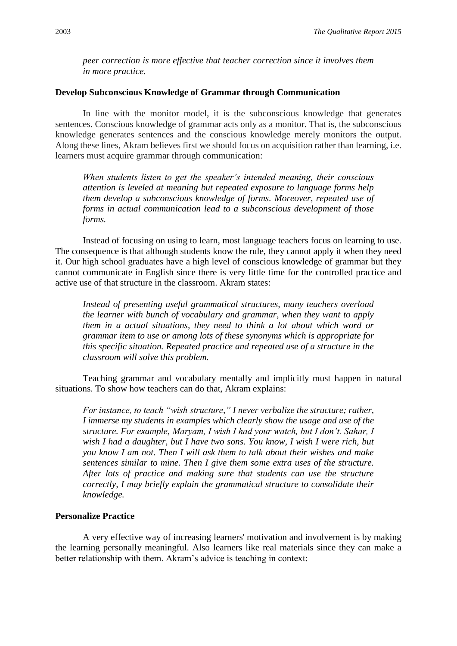*peer correction is more effective that teacher correction since it involves them in more practice.*

#### **Develop Subconscious Knowledge of Grammar through Communication**

In line with the monitor model, it is the subconscious knowledge that generates sentences. Conscious knowledge of grammar acts only as a monitor. That is, the subconscious knowledge generates sentences and the conscious knowledge merely monitors the output. Along these lines, Akram believes first we should focus on acquisition rather than learning, i.e. learners must acquire grammar through communication:

*When students listen to get the speaker's intended meaning, their conscious attention is leveled at meaning but repeated exposure to language forms help them develop a subconscious knowledge of forms. Moreover, repeated use of forms in actual communication lead to a subconscious development of those forms.*

Instead of focusing on using to learn, most language teachers focus on learning to use. The consequence is that although students know the rule, they cannot apply it when they need it. Our high school graduates have a high level of conscious knowledge of grammar but they cannot communicate in English since there is very little time for the controlled practice and active use of that structure in the classroom. Akram states:

*Instead of presenting useful grammatical structures, many teachers overload the learner with bunch of vocabulary and grammar, when they want to apply them in a actual situations, they need to think a lot about which word or grammar item to use or among lots of these synonyms which is appropriate for this specific situation. Repeated practice and repeated use of a structure in the classroom will solve this problem.*

Teaching grammar and vocabulary mentally and implicitly must happen in natural situations. To show how teachers can do that, Akram explains:

*For instance, to teach "wish structure," I never verbalize the structure; rather, I immerse my students in examples which clearly show the usage and use of the structure. For example, Maryam, I wish I had your watch, but I don't. Sahar, I wish I had a daughter, but I have two sons. You know, I wish I were rich, but you know I am not. Then I will ask them to talk about their wishes and make sentences similar to mine. Then I give them some extra uses of the structure. After lots of practice and making sure that students can use the structure correctly, I may briefly explain the grammatical structure to consolidate their knowledge.*

#### **Personalize Practice**

A very effective way of increasing learners' motivation and involvement is by making the learning personally meaningful. Also learners like real materials since they can make a better relationship with them. Akram's advice is teaching in context: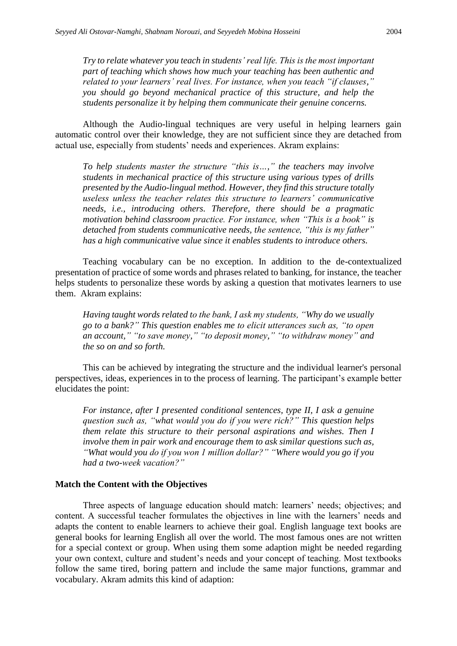*Try to relate whatever you teach in students' real life. This is the most important part of teaching which shows how much your teaching has been authentic and related to your learners' real lives. For instance, when you teach "if clauses," you should go beyond mechanical practice of this structure, and help the students personalize it by helping them communicate their genuine concerns.*

Although the Audio-lingual techniques are very useful in helping learners gain automatic control over their knowledge, they are not sufficient since they are detached from actual use, especially from students' needs and experiences. Akram explains:

*To help students master the structure "this is…," the teachers may involve students in mechanical practice of this structure using various types of drills presented by the Audio-lingual method. However, they find this structure totally useless unless the teacher relates this structure to learners' communicative needs, i.e., introducing others. Therefore, there should be a pragmatic motivation behind classroom practice. For instance, when "This is a book" is detached from students communicative needs, the sentence, "this is my father" has a high communicative value since it enables students to introduce others.* 

Teaching vocabulary can be no exception. In addition to the de-contextualized presentation of practice of some words and phrases related to banking, for instance, the teacher helps students to personalize these words by asking a question that motivates learners to use them. Akram explains:

*Having taught words related to the bank, I ask my students, "Why do we usually go to a bank?" This question enables me to elicit utterances such as, "to open an account," "to save money," "to deposit money," "to withdraw money" and the so on and so forth.* 

This can be achieved by integrating the structure and the individual learner's personal perspectives, ideas, experiences in to the process of learning. The participant's example better elucidates the point:

*For instance, after I presented conditional sentences, type II, I ask a genuine question such as, "what would you do if you were rich?" This question helps them relate this structure to their personal aspirations and wishes. Then I involve them in pair work and encourage them to ask similar questions such as, "What would you do if you won 1 million dollar?" "Where would you go if you had a two-week vacation?"*

#### **Match the Content with the Objectives**

Three aspects of language education should match: learners' needs; objectives; and content. A successful teacher formulates the objectives in line with the learners' needs and adapts the content to enable learners to achieve their goal. English language text books are general books for learning English all over the world. The most famous ones are not written for a special context or group. When using them some adaption might be needed regarding your own context, culture and student's needs and your concept of teaching. Most textbooks follow the same tired, boring pattern and include the same major functions, grammar and vocabulary. Akram admits this kind of adaption: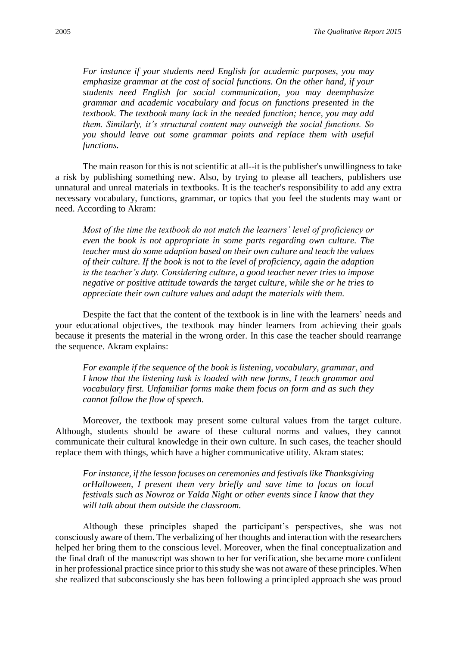*For instance if your students need English for academic purposes, you may emphasize grammar at the cost of social functions. On the other hand, if your students need English for social communication, you may deemphasize grammar and academic vocabulary and focus on functions presented in the textbook. The textbook many lack in the needed function; hence, you may add them. Similarly, it's structural content may outweigh the social functions. So you should leave out some grammar points and replace them with useful functions.* 

The main reason for this is not scientific at all--it is the publisher's unwillingness to take a risk by publishing something new. Also, by trying to please all teachers, publishers use unnatural and unreal materials in textbooks. It is the teacher's responsibility to add any extra necessary vocabulary, functions, grammar, or topics that you feel the students may want or need. According to Akram:

*Most of the time the textbook do not match the learners' level of proficiency or even the book is not appropriate in some parts regarding own culture. The teacher must do some adaption based on their own culture and teach the values of their culture. If the book is not to the level of proficiency, again the adaption is the teacher's duty. Considering culture, a good teacher never tries to impose negative or positive attitude towards the target culture, while she or he tries to appreciate their own culture values and adapt the materials with them.*

Despite the fact that the content of the textbook is in line with the learners' needs and your educational objectives, the textbook may hinder learners from achieving their goals because it presents the material in the wrong order. In this case the teacher should rearrange the sequence. Akram explains:

*For example if the sequence of the book is listening, vocabulary, grammar, and I know that the listening task is loaded with new forms, I teach grammar and vocabulary first. Unfamiliar forms make them focus on form and as such they cannot follow the flow of speech.*

Moreover, the textbook may present some cultural values from the target culture. Although, students should be aware of these cultural norms and values, they cannot communicate their cultural knowledge in their own culture. In such cases, the teacher should replace them with things, which have a higher communicative utility. Akram states:

*For instance, if the lesson focuses on ceremonies and festivals like Thanksgiving orHalloween, I present them very briefly and save time to focus on local festivals such as Nowroz or Yalda Night or other events since I know that they will talk about them outside the classroom.* 

Although these principles shaped the participant's perspectives, she was not consciously aware of them. The verbalizing of her thoughts and interaction with the researchers helped her bring them to the conscious level. Moreover, when the final conceptualization and the final draft of the manuscript was shown to her for verification, she became more confident in her professional practice since prior to this study she was not aware of these principles. When she realized that subconsciously she has been following a principled approach she was proud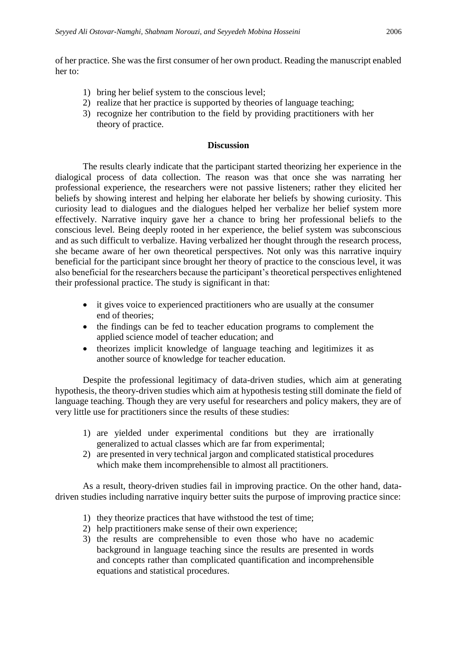of her practice. She was the first consumer of her own product. Reading the manuscript enabled her to:

- 1) bring her belief system to the conscious level;
- 2) realize that her practice is supported by theories of language teaching;
- 3) recognize her contribution to the field by providing practitioners with her theory of practice.

#### **Discussion**

The results clearly indicate that the participant started theorizing her experience in the dialogical process of data collection. The reason was that once she was narrating her professional experience, the researchers were not passive listeners; rather they elicited her beliefs by showing interest and helping her elaborate her beliefs by showing curiosity. This curiosity lead to dialogues and the dialogues helped her verbalize her belief system more effectively. Narrative inquiry gave her a chance to bring her professional beliefs to the conscious level. Being deeply rooted in her experience, the belief system was subconscious and as such difficult to verbalize. Having verbalized her thought through the research process, she became aware of her own theoretical perspectives. Not only was this narrative inquiry beneficial for the participant since brought her theory of practice to the conscious level, it was also beneficial for the researchers because the participant's theoretical perspectives enlightened their professional practice. The study is significant in that:

- it gives voice to experienced practitioners who are usually at the consumer end of theories;
- the findings can be fed to teacher education programs to complement the applied science model of teacher education; and
- theorizes implicit knowledge of language teaching and legitimizes it as another source of knowledge for teacher education.

Despite the professional legitimacy of data-driven studies, which aim at generating hypothesis, the theory-driven studies which aim at hypothesis testing still dominate the field of language teaching. Though they are very useful for researchers and policy makers, they are of very little use for practitioners since the results of these studies:

- 1) are yielded under experimental conditions but they are irrationally generalized to actual classes which are far from experimental;
- 2) are presented in very technical jargon and complicated statistical procedures which make them incomprehensible to almost all practitioners.

As a result, theory-driven studies fail in improving practice. On the other hand, datadriven studies including narrative inquiry better suits the purpose of improving practice since:

- 1) they theorize practices that have withstood the test of time;
- 2) help practitioners make sense of their own experience;
- 3) the results are comprehensible to even those who have no academic background in language teaching since the results are presented in words and concepts rather than complicated quantification and incomprehensible equations and statistical procedures.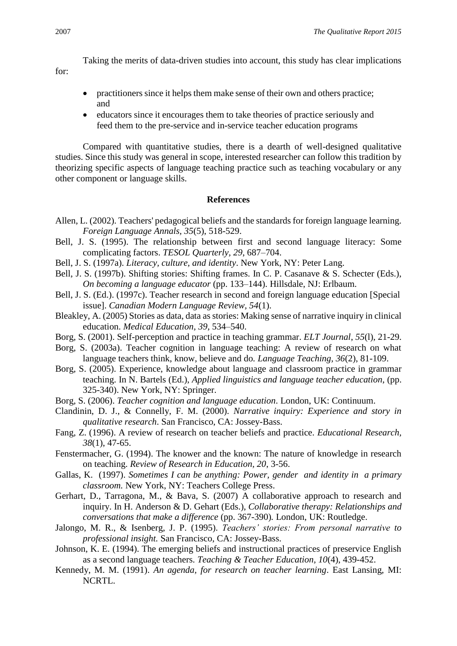Taking the merits of data-driven studies into account, this study has clear implications

for:

- practitioners since it helps them make sense of their own and others practice; and
- educators since it encourages them to take theories of practice seriously and feed them to the pre-service and in-service teacher education programs

Compared with quantitative studies, there is a dearth of well-designed qualitative studies. Since this study was general in scope, interested researcher can follow this tradition by theorizing specific aspects of language teaching practice such as teaching vocabulary or any other component or language skills.

# **References**

- Allen, L. (2002). Teachers' pedagogical beliefs and the standards for foreign language learning. *Foreign Language Annals, 35*(5), 518-529.
- Bell, J. S. (1995). The relationship between first and second language literacy: Some complicating factors. *TESOL Quarterly, 29*, 687–704.
- Bell, J. S. (1997a). *Literacy, culture, and identity*. New York, NY: Peter Lang.
- Bell, J. S. (1997b). Shifting stories: Shifting frames. In C. P. Casanave & S. Schecter (Eds.), *On becoming a language educator* (pp. 133–144). Hillsdale, NJ: Erlbaum.
- Bell, J. S. (Ed.). (1997c). Teacher research in second and foreign language education [Special issue]. *Canadian Modern Language Review, 54*(1).
- Bleakley, A. (2005) Stories as data, data as stories: Making sense of narrative inquiry in clinical education. *Medical Education, 39*, 534–540.
- Borg, S. (2001). Self-perception and practice in teaching grammar. *ELT Journal*, *55*(l), 21-29.
- Borg, S. (2003a). Teacher cognition in language teaching: A review of research on what language teachers think, know, believe and do*. Language Teaching, 36*(2), 81-109.
- Borg, S. (2005). Experience, knowledge about language and classroom practice in grammar teaching. In N. Bartels (Ed.), *Applied linguistics and language teacher education*, (pp. 325-340). New York, NY: Springer.
- Borg, S. (2006). *Teacher cognition and language education*. London, UK: Continuum.
- Clandinin, D. J., & Connelly, F. M. (2000). *Narrative inquiry: Experience and story in qualitative research*. San Francisco, CA: Jossey-Bass.
- Fang, Z. (1996). A review of research on teacher beliefs and practice. *Educational Research, 38*(1), 47-65.
- Fenstermacher, G. (1994). The knower and the known: The nature of knowledge in research on teaching. *Review of Research in Education, 20*, 3-56.
- Gallas, K. (1997). *Sometimes I can be anything: Power, gender and identity in a primary classroom.* New York, NY: Teachers College Press.
- Gerhart, D., Tarragona, M., & Bava, S. (2007) A collaborative approach to research and inquiry. In H. Anderson & D. Gehart (Eds.), *Collaborative therapy: Relationships and conversations that make a difference* (pp. 367-390)*.* London, UK: Routledge.
- Jalongo, M. R., & Isenberg, J. P. (1995). *Teachers' stories: From personal narrative to professional insight.* San Francisco, CA: Jossey-Bass.
- Johnson, K. E. (1994). The emerging beliefs and instructional practices of preservice English as a second language teachers. *Teaching & Teacher Education, 10*(4), 439-452.
- Kennedy, M. M. (1991). *An agenda, for research on teacher learning*. East Lansing, MI: NCRTL.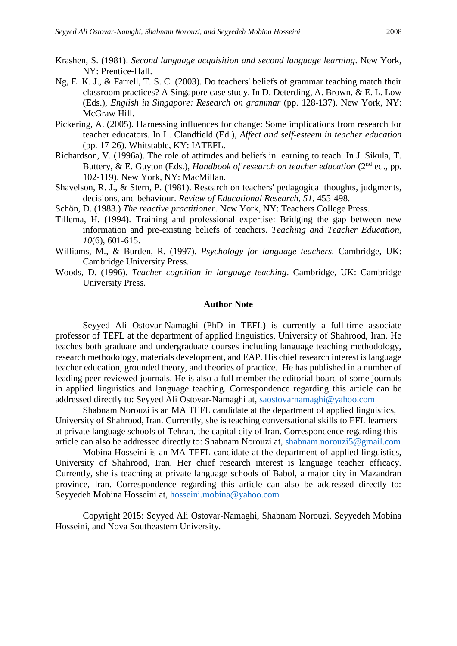- Krashen, S. (1981). *Second language acquisition and second language learning*. New York, NY: Prentice-Hall.
- Ng, E. K. J., & Farrell, T. S. C. (2003). Do teachers' beliefs of grammar teaching match their classroom practices? A Singapore case study. In D. Deterding, A. Brown, & E. L. Low (Eds.), *English in Singapore: Research on grammar* (pp. 128-137). New York, NY: McGraw Hill.
- Pickering, A. (2005). Harnessing influences for change: Some implications from research for teacher educators. In L. Clandfield (Ed.), *Affect and self-esteem in teacher education* (pp. 17-26). Whitstable, KY: IATEFL.
- Richardson, V. (1996a). The role of attitudes and beliefs in learning to teach. In J. Sikula, T. Buttery, & E. Guyton (Eds.), *Handbook of research on teacher education* (2<sup>nd</sup> ed., pp. 102-119). New York, NY: MacMillan.
- Shavelson, R. J., & Stern, P. (1981). Research on teachers' pedagogical thoughts, judgments, decisions, and behaviour. *Review of Educational Research, 51,* 455-498.
- Schön, D. (1983.) *The reactive practitioner.* New York, NY: Teachers College Press.
- Tillema, H. (1994). Training and professional expertise: Bridging the gap between new information and pre-existing beliefs of teachers. *Teaching and Teacher Education, 10*(6), 601-615.
- Williams, M., & Burden, R. (1997). *Psychology for language teachers.* Cambridge, UK: Cambridge University Press.
- Woods, D. (1996). *Teacher cognition in language teaching*. Cambridge, UK: Cambridge University Press.

#### **Author Note**

Seyyed Ali Ostovar-Namaghi (PhD in TEFL) is currently a full-time associate professor of TEFL at the department of applied linguistics, University of Shahrood, Iran. He teaches both graduate and undergraduate courses including language teaching methodology, research methodology, materials development, and EAP. His chief research interest is language teacher education, grounded theory, and theories of practice. He has published in a number of leading peer-reviewed journals. He is also a full member the editorial board of some journals in applied linguistics and language teaching. Correspondence regarding this article can be addressed directly to: Seyyed Ali Ostovar-Namaghi at, [saostovarnamaghi@yahoo.com](mailto:saostovarnamaghi@yahoo.com)

Shabnam Norouzi is an MA TEFL candidate at the department of applied linguistics, University of Shahrood, Iran. Currently, she is teaching conversational skills to EFL learners at private language schools of Tehran, the capital city of Iran. Correspondence regarding this article can also be addressed directly to: Shabnam Norouzi at, [shabnam.norouzi5@gmail.com](mailto:shabnam.norouzi5@gmail.com)

Mobina Hosseini is an MA TEFL candidate at the department of applied linguistics, University of Shahrood, Iran. Her chief research interest is language teacher efficacy. Currently, she is teaching at private language schools of Babol, a major city in Mazandran province, Iran. Correspondence regarding this article can also be addressed directly to: Seyyedeh Mobina Hosseini at, [hosseini.mobina@yahoo.com](mailto:hosseini.mobina@yahoo.com)

Copyright 2015: Seyyed Ali Ostovar-Namaghi, Shabnam Norouzi, Seyyedeh Mobina Hosseini, and Nova Southeastern University.